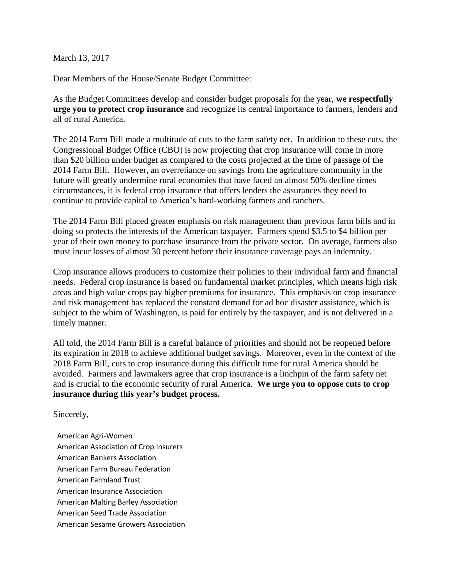March 13, 2017

Dear Members of the House/Senate Budget Committee:

As the Budget Committees develop and consider budget proposals for the year, **we respectfully urge you to protect crop insurance** and recognize its central importance to farmers, lenders and all of rural America.

The 2014 Farm Bill made a multitude of cuts to the farm safety net. In addition to these cuts, the Congressional Budget Office (CBO) is now projecting that crop insurance will come in more than \$20 billion under budget as compared to the costs projected at the time of passage of the 2014 Farm Bill. However, an overreliance on savings from the agriculture community in the future will greatly undermine rural economies that have faced an almost 50% decline times circumstances, it is federal crop insurance that offers lenders the assurances they need to continue to provide capital to America's hard-working farmers and ranchers.

The 2014 Farm Bill placed greater emphasis on risk management than previous farm bills and in doing so protects the interests of the American taxpayer. Farmers spend \$3.5 to \$4 billion per year of their own money to purchase insurance from the private sector. On average, farmers also must incur losses of almost 30 percent before their insurance coverage pays an indemnity.

Crop insurance allows producers to customize their policies to their individual farm and financial needs. Federal crop insurance is based on fundamental market principles, which means high risk areas and high value crops pay higher premiums for insurance. This emphasis on crop insurance and risk management has replaced the constant demand for ad hoc disaster assistance, which is subject to the whim of Washington, is paid for entirely by the taxpayer, and is not delivered in a timely manner.

All told, the 2014 Farm Bill is a careful balance of priorities and should not be reopened before its expiration in 2018 to achieve additional budget savings. Moreover, even in the context of the 2018 Farm Bill, cuts to crop insurance during this difficult time for rural America should be avoided. Farmers and lawmakers agree that crop insurance is a linchpin of the farm safety net and is crucial to the economic security of rural America. **We urge you to oppose cuts to crop insurance during this year's budget process.** 

Sincerely,

American Agri-Women American Association of Crop Insurers American Bankers Association American Farm Bureau Federation American Farmland Trust American Insurance Association American Malting Barley Association American Seed Trade Association American Sesame Growers Association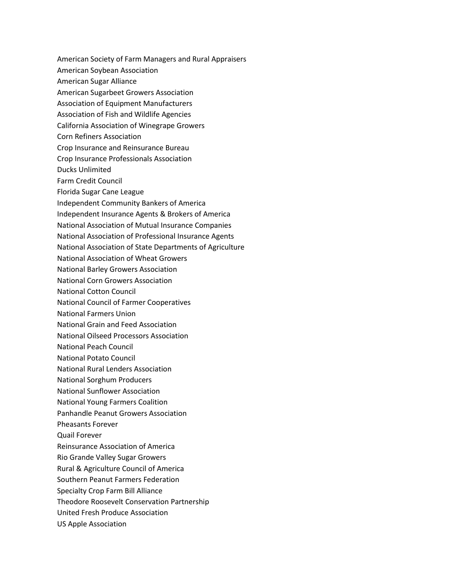American Society of Farm Managers and Rural Appraisers American Soybean Association American Sugar Alliance American Sugarbeet Growers Association Association of Equipment Manufacturers Association of Fish and Wildlife Agencies California Association of Winegrape Growers Corn Refiners Association Crop Insurance and Reinsurance Bureau Crop Insurance Professionals Association Ducks Unlimited Farm Credit Council Florida Sugar Cane League Independent Community Bankers of America Independent Insurance Agents & Brokers of America National Association of Mutual Insurance Companies National Association of Professional Insurance Agents National Association of State Departments of Agriculture National Association of Wheat Growers National Barley Growers Association National Corn Growers Association National Cotton Council National Council of Farmer Cooperatives National Farmers Union National Grain and Feed Association National Oilseed Processors Association National Peach Council National Potato Council National Rural Lenders Association National Sorghum Producers National Sunflower Association National Young Farmers Coalition Panhandle Peanut Growers Association Pheasants Forever Quail Forever Reinsurance Association of America Rio Grande Valley Sugar Growers Rural & Agriculture Council of America Southern Peanut Farmers Federation Specialty Crop Farm Bill Alliance Theodore Roosevelt Conservation Partnership United Fresh Produce Association US Apple Association